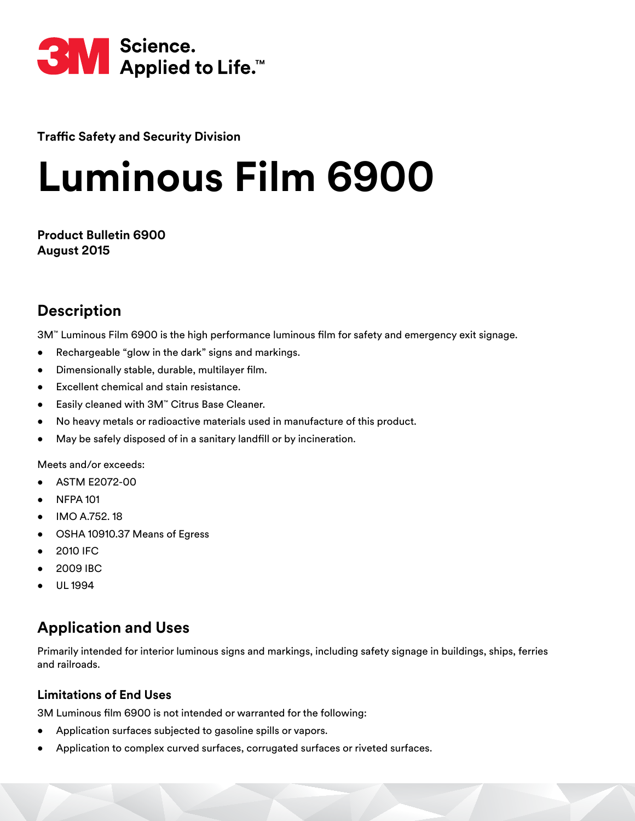

**Traffic Safety and Security Division** 

# **Luminous Film 6900**

**Product Bulletin 6900 August 2015**

# **Description**

3M™ Luminous Film 6900 is the high performance luminous film for safety and emergency exit signage.

- Rechargeable "glow in the dark" signs and markings.
- Dimensionally stable, durable, multilayer film.
- Excellent chemical and stain resistance.
- Easily cleaned with 3M™ Citrus Base Cleaner.
- No heavy metals or radioactive materials used in manufacture of this product.
- May be safely disposed of in a sanitary landfill or by incineration.

Meets and/or exceeds:

- ASTM E2072-00
- NFPA 101
- IMO A.752. 18
- OSHA 10910.37 Means of Egress
- 2010 IFC
- 2009 IBC
- UL 1994

# **Application and Uses**

Primarily intended for interior luminous signs and markings, including safety signage in buildings, ships, ferries and railroads.

#### **Limitations of End Uses**

3M Luminous film 6900 is not intended or warranted for the following:

- Application surfaces subjected to gasoline spills or vapors.
- Application to complex curved surfaces, corrugated surfaces or riveted surfaces.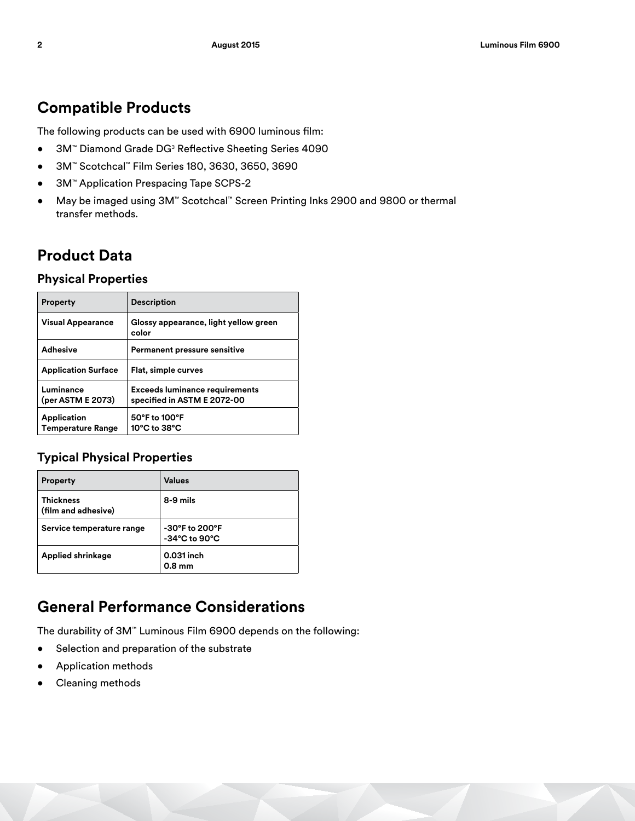## **Compatible Products**

The following products can be used with 6900 luminous film:

- 3M™ Diamond Grade DG<sup>3</sup> Reflective Sheeting Series 4090
- 3M™ Scotchcal™ Film Series 180, 3630, 3650, 3690
- 3M™ Application Prespacing Tape SCPS-2
- May be imaged using 3M™ Scotchcal™ Screen Printing Inks 2900 and 9800 or thermal transfer methods.

# **Product Data**

#### **Physical Properties**

| <b>Property</b>                                | <b>Description</b>                                                   |  |
|------------------------------------------------|----------------------------------------------------------------------|--|
| <b>Visual Appearance</b>                       | Glossy appearance, light yellow green<br>color                       |  |
| <b>Adhesive</b>                                | <b>Permanent pressure sensitive</b>                                  |  |
| <b>Application Surface</b>                     | Flat, simple curves                                                  |  |
| Luminance<br>(per ASTM E 2073)                 | <b>Exceeds luminance requirements</b><br>specified in ASTM E 2072-00 |  |
| <b>Application</b><br><b>Temperature Range</b> | 50°F to 100°F<br>10°C to 38°C                                        |  |

#### **Typical Physical Properties**

| <b>Property</b>                         | <b>Values</b>                                       |
|-----------------------------------------|-----------------------------------------------------|
| <b>Thickness</b><br>(film and adhesive) | 8-9 mils                                            |
| Service temperature range               | -30°F to 200°F<br>$-34^{\circ}$ C to $90^{\circ}$ C |
| <b>Applied shrinkage</b>                | 0.031 inch<br>0.8 <sub>mm</sub>                     |

# **General Performance Considerations**

The durability of 3M™ Luminous Film 6900 depends on the following:

- Selection and preparation of the substrate
- Application methods
- Cleaning methods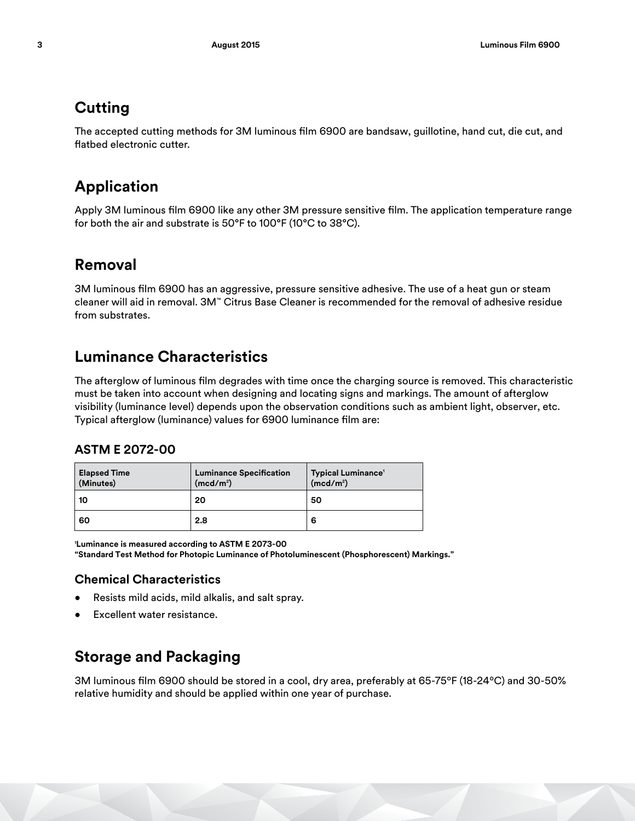# **Cutting**

The accepted cutting methods for 3M luminous film 6900 are bandsaw, guillotine, hand cut, die cut, and flatbed electronic cutter.

# **Application**

Apply 3M luminous film 6900 like any other 3M pressure sensitive film. The application temperature range for both the air and substrate is 50°F to 100°F (10°C to 38°C).

### **Removal**

3M luminous film 6900 has an aggressive, pressure sensitive adhesive. The use of a heat gun or steam cleaner will aid in removal. 3M™ Citrus Base Cleaner is recommended for the removal of adhesive residue from substrates.

### **Luminance Characteristics**

The afterglow of luminous film degrades with time once the charging source is removed. This characteristic must be taken into account when designing and locating signs and markings. The amount of afterglow visibility (luminance level) depends upon the observation conditions such as ambient light, observer, etc. Typical afterglow (luminance) values for 6900 luminance film are:

#### **ASTM E 2072-00**

| <b>Elapsed Time</b><br>(Minutes) | <b>Luminance Specification</b><br>(mcd/m <sup>2</sup> ) | <b>Typical Luminance<sup>1</sup></b><br>(med/m <sup>2</sup> ) |
|----------------------------------|---------------------------------------------------------|---------------------------------------------------------------|
| 10                               | 20                                                      | 50                                                            |
| 60                               | 2.8                                                     | 6                                                             |

**1 Luminance is measured according to ASTM E 2073-00 "Standard Test Method for Photopic Luminance of Photoluminescent (Phosphorescent) Markings."**

#### **Chemical Characteristics**

- Resists mild acids, mild alkalis, and salt spray.
- Excellent water resistance.

# **Storage and Packaging**

3M luminous film 6900 should be stored in a cool, dry area, preferably at 65-75ºF (18-24ºC) and 30-50% relative humidity and should be applied within one year of purchase.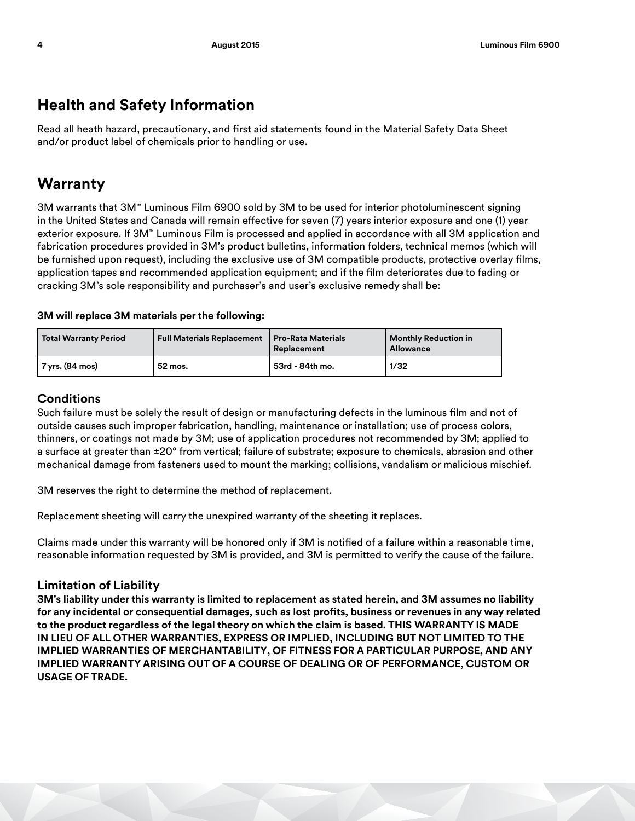## **Health and Safety Information**

Read all heath hazard, precautionary, and first aid statements found in the Material Safety Data Sheet and/or product label of chemicals prior to handling or use.

### **Warranty**

3M warrants that 3M™ Luminous Film 6900 sold by 3M to be used for interior photoluminescent signing in the United States and Canada will remain effective for seven (7) years interior exposure and one (1) year exterior exposure. If 3M™ Luminous Film is processed and applied in accordance with all 3M application and fabrication procedures provided in 3M's product bulletins, information folders, technical memos (which will be furnished upon request), including the exclusive use of 3M compatible products, protective overlay films, application tapes and recommended application equipment; and if the film deteriorates due to fading or cracking 3M's sole responsibility and purchaser's and user's exclusive remedy shall be:

#### **3M will replace 3M materials per the following:**

| <b>Total Warranty Period</b> | <b>Full Materials Replacement</b> | <b>Pro-Rata Materials</b><br>Replacement | <b>Monthly Reduction in</b><br><b>Allowance</b> |
|------------------------------|-----------------------------------|------------------------------------------|-------------------------------------------------|
| 7 yrs. (84 mos)              | 52 mos.                           | 53rd - 84th mo.                          | 1/32                                            |

#### **Conditions**

Such failure must be solely the result of design or manufacturing defects in the luminous film and not of outside causes such improper fabrication, handling, maintenance or installation; use of process colors, thinners, or coatings not made by 3M; use of application procedures not recommended by 3M; applied to a surface at greater than ±20° from vertical; failure of substrate; exposure to chemicals, abrasion and other mechanical damage from fasteners used to mount the marking; collisions, vandalism or malicious mischief.

3M reserves the right to determine the method of replacement.

Replacement sheeting will carry the unexpired warranty of the sheeting it replaces.

Claims made under this warranty will be honored only if 3M is notified of a failure within a reasonable time, reasonable information requested by 3M is provided, and 3M is permitted to verify the cause of the failure.

#### **Limitation of Liability**

**3M's liability under this warranty is limited to replacement as stated herein, and 3M assumes no liability for any incidental or consequential damages, such as lost profits, business or revenues in any way related to the product regardless of the legal theory on which the claim is based. THIS WARRANTY IS MADE IN LIEU OF ALL OTHER WARRANTIES, EXPRESS OR IMPLIED, INCLUDING BUT NOT LIMITED TO THE IMPLIED WARRANTIES OF MERCHANTABILITY, OF FITNESS FOR A PARTICULAR PURPOSE, AND ANY IMPLIED WARRANTY ARISING OUT OF A COURSE OF DEALING OR OF PERFORMANCE, CUSTOM OR USAGE OF TRADE.**